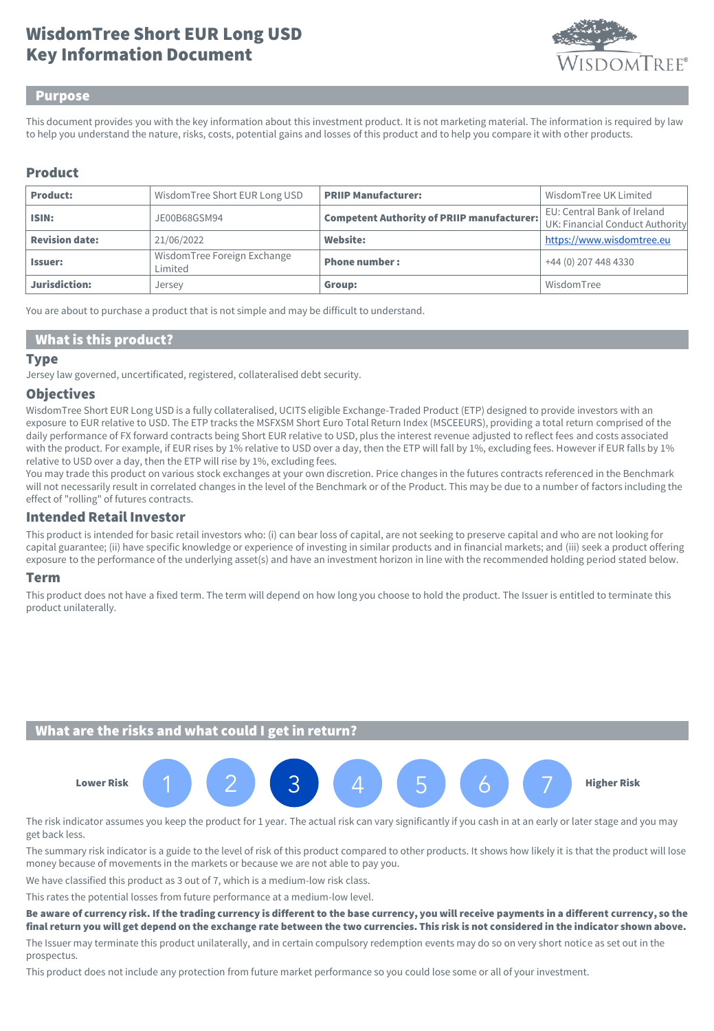# Key Information Document WisdomTree Short EUR Long USD



### Purpose

This document provides you with the key information about this investment product. It is not marketing material. The information is required by law to help you understand the nature, risks, costs, potential gains and losses of this product and to help you compare it with other products.

# Product

| <b>Product:</b>       | Wisdom Tree Short EUR Long USD         | <b>PRIIP Manufacturer:</b>                        | Wisdom Tree UK Limited                                         |
|-----------------------|----------------------------------------|---------------------------------------------------|----------------------------------------------------------------|
| ISIN:                 | JE00B68GSM94                           | <b>Competent Authority of PRIIP manufacturer:</b> | EU: Central Bank of Ireland<br>UK: Financial Conduct Authority |
| <b>Revision date:</b> | 21/06/2022                             | Website:                                          | https://www.wisdomtree.eu                                      |
| <b>Issuer:</b>        | WisdomTree Foreign Exchange<br>Limited | <b>Phone number:</b>                              | +44 (0) 207 448 4330                                           |
| Jurisdiction:         | Jersey                                 | Group:                                            | WisdomTree                                                     |

You are about to purchase a product that is not simple and may be difficult to understand.

## What is this product?

#### Type

Jersey law governed, uncertificated, registered, collateralised debt security.

### **Objectives**

WisdomTree Short EUR Long USD is a fully collateralised, UCITS eligible Exchange-Traded Product (ETP) designed to provide investors with an exposure to EUR relative to USD. The ETP tracks the MSFXSM Short Euro Total Return Index (MSCEEURS), providing a total return comprised of the daily performance of FX forward contracts being Short EUR relative to USD, plus the interest revenue adjusted to reflect fees and costs associated with the product. For example, if EUR rises by 1% relative to USD over a day, then the ETP will fall by 1%, excluding fees. However if EUR falls by 1% relative to USD over a day, then the ETP will rise by 1%, excluding fees.

You may trade this product on various stock exchanges at your own discretion. Price changes in the futures contracts referenced in the Benchmark will not necessarily result in correlated changes in the level of the Benchmark or of the Product. This may be due to a number of factors including the effect of "rolling" of futures contracts.

# Intended Retail Investor

This product is intended for basic retail investors who: (i) can bear loss of capital, are not seeking to preserve capital and who are not looking for capital guarantee; (ii) have specific knowledge or experience of investing in similar products and in financial markets; and (iii) seek a product offering exposure to the performance of the underlying asset(s) and have an investment horizon in line with the recommended holding period stated below.

### Term

This product does not have a fixed term. The term will depend on how long you choose to hold the product. The Issuer is entitled to terminate this product unilaterally.

## What are the risks and what could I get in return?



The risk indicator assumes you keep the product for 1 year. The actual risk can vary significantly if you cash in at an early or later stage and you may get back less.

The summary risk indicator is a guide to the level of risk of this product compared to other products. It shows how likely it is that the product will lose money because of movements in the markets or because we are not able to pay you.

We have classified this product as 3 out of 7, which is a medium-low risk class.

This rates the potential losses from future performance at a medium-low level.

Be aware of currency risk. If the trading currency is different to the base currency, you will receive payments in a different currency, so the final return you will get depend on the exchange rate between the two currencies. This risk is not considered in the indicator shown above.

The Issuer may terminate this product unilaterally, and in certain compulsory redemption events may do so on very short notice as set out in the prospectus.

This product does not include any protection from future market performance so you could lose some or all of your investment.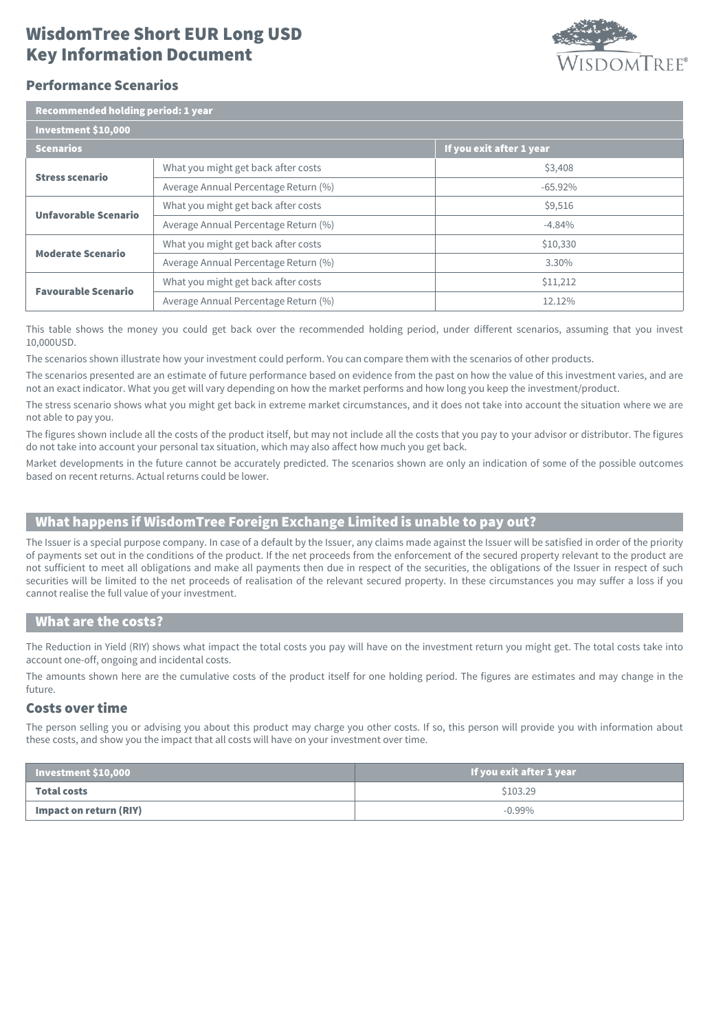# Key Information Document WisdomTree Short EUR Long USD



## Performance Scenarios

| Recommended holding period: 1 year |                                      |                          |  |  |
|------------------------------------|--------------------------------------|--------------------------|--|--|
| Investment \$10,000                |                                      |                          |  |  |
| <b>Scenarios</b>                   |                                      | If you exit after 1 year |  |  |
| <b>Stress scenario</b>             | What you might get back after costs  | \$3,408                  |  |  |
|                                    | Average Annual Percentage Return (%) | $-65.92%$                |  |  |
| Unfavorable Scenario               | What you might get back after costs  | \$9,516                  |  |  |
|                                    | Average Annual Percentage Return (%) | $-4.84%$                 |  |  |
| <b>Moderate Scenario</b>           | What you might get back after costs  | \$10,330                 |  |  |
|                                    | Average Annual Percentage Return (%) | 3.30%                    |  |  |
| <b>Favourable Scenario</b>         | What you might get back after costs  | \$11,212                 |  |  |
|                                    | Average Annual Percentage Return (%) | 12.12%                   |  |  |

This table shows the money you could get back over the recommended holding period, under different scenarios, assuming that you invest 10,000USD.

The scenarios shown illustrate how your investment could perform. You can compare them with the scenarios of other products.

The scenarios presented are an estimate of future performance based on evidence from the past on how the value of this investment varies, and are not an exact indicator. What you get will vary depending on how the market performs and how long you keep the investment/product.

The stress scenario shows what you might get back in extreme market circumstances, and it does not take into account the situation where we are not able to pay you.

The figures shown include all the costs of the product itself, but may not include all the costs that you pay to your advisor or distributor. The figures do not take into account your personal tax situation, which may also affect how much you get back.

Market developments in the future cannot be accurately predicted. The scenarios shown are only an indication of some of the possible outcomes based on recent returns. Actual returns could be lower.

# What happens if WisdomTree Foreign Exchange Limited is unable to pay out?

The Issuer is a special purpose company. In case of a default by the Issuer, any claims made against the Issuer will be satisfied in order of the priority of payments set out in the conditions of the product. If the net proceeds from the enforcement of the secured property relevant to the product are not sufficient to meet all obligations and make all payments then due in respect of the securities, the obligations of the Issuer in respect of such securities will be limited to the net proceeds of realisation of the relevant secured property. In these circumstances you may suffer a loss if you cannot realise the full value of your investment.

### What are the costs?

The Reduction in Yield (RIY) shows what impact the total costs you pay will have on the investment return you might get. The total costs take into account one-off, ongoing and incidental costs.

The amounts shown here are the cumulative costs of the product itself for one holding period. The figures are estimates and may change in the future.

### Costs over time

The person selling you or advising you about this product may charge you other costs. If so, this person will provide you with information about these costs, and show you the impact that all costs will have on your investment over time.

| Investment \$10,000    | If you exit after 1 year |
|------------------------|--------------------------|
| <b>Total costs</b>     | \$103.29                 |
| Impact on return (RIY) | $-0.99%$                 |